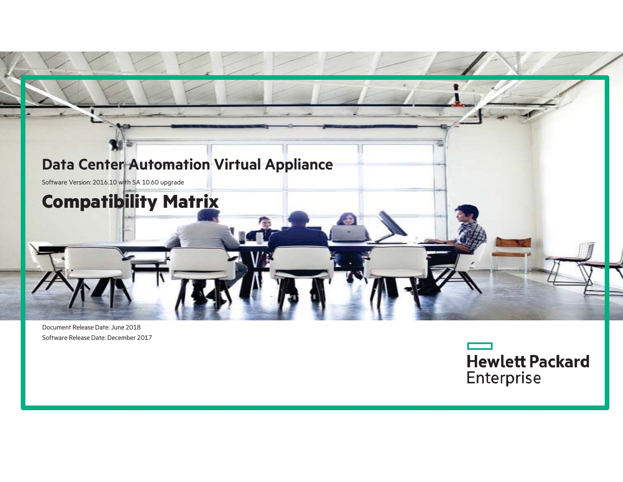

Document Release Date: June 2018 Software Release Date: December 2017

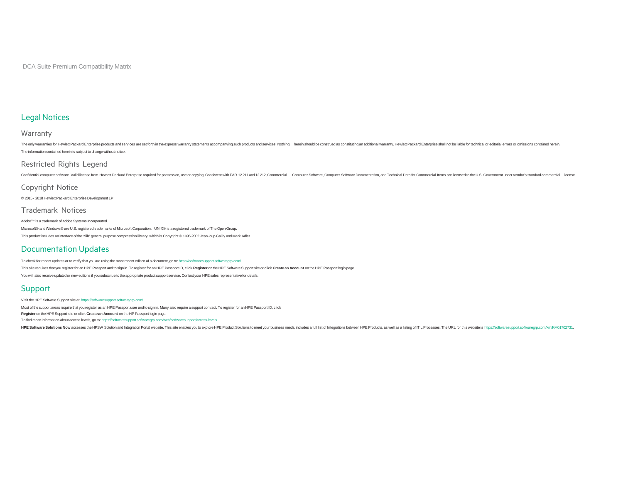DCA Suite Premium Compatibility Matrix

#### Legal Notices

#### Warranty

The only warranties for Hewlett Packard Enterprise products and services are set forth in the express warranty statements accompanying such products and services. Nothing herein should be construction and servicing an addi The information contained herein is subject to change without notice.

#### Restricted Rights Legend

Confidential computer software. Valid license from Hewlett Packard Enterprise required for possession, use or copying. Consistent with FAR 12211 and 12212, Commercial Computer Software, Computer Software Documentation, and

#### Copyright Notice

© 2015 - 2018 Hewlett Packard Enterprise Development LP

#### Trademark Notices

Adobe™ is a trademark of Adobe Systems Incorporated.

Microsoft® and Windows® are U.S. registered trademarks of Microsoft Corporation. UNIX® is a registered trademark of The Open Group. This product includes an interface of the 'zlib' general purpose compression library, which is Copyright © 1995-2002 Jean-loup Gailly and Mark Adler.

#### Documentation Updates

To check for recent updates or to verify that you are using the most recent edition of a document, go to: https://softwaresupport.softwaregrp.com/.

This site requires that you register for an HPE Passport and to sign in. To register for an HPE Passport ID, click Register on the HPE Software Support site or click Create an Account on the HPE Passport login page. You will also receive updated or new editions if you subscribe to the appropriate product support service. Contact your HPE sales representative for details.

#### Support

Visit the HPE Software Support site at: https://softwaresupport.softwaregrp.com/.

Most of the support areas require that you register as an HPE Passport user and to sign in. Many also require a support contract. To register for an HPE Passport ID, click

**Register** on the HPE Support site or click **Create an Account** on the HP Passport login page.

To find more information about access levels, go to: https://softwaresupport.softwaregrp.com/web/softwaresupport/access-levels.

HPE Software Solutions Now accesses the HPSW Solution and Integration Portal website. This site enables you to explore HPE Product Solutions to meet your business needs, includes a full list of Integrations between HPE Pro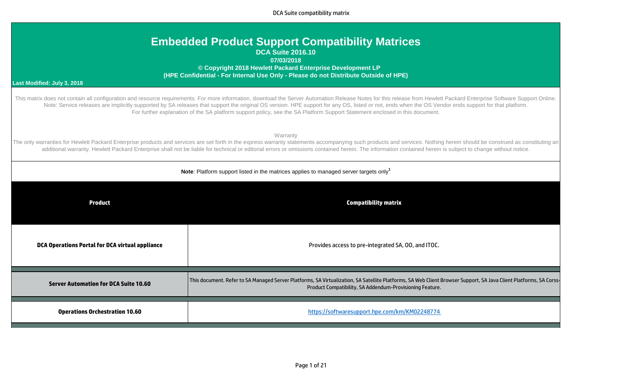DCA Suite compatibility matrix

| <b>Embedded Product Support Compatibility Matrices</b><br><b>DCA Suite 2016.10</b><br>07/03/2018<br>© Copyright 2018 Hewlett Packard Enterprise Development LP<br>(HPE Confidential - For Internal Use Only - Please do not Distribute Outside of HPE)<br>Last Modified: July 3, 2018                                                                                                                                                              |                                                                                                                                                                                                                                                                                                                                                                                                                                                                                                                                                              |  |  |  |  |  |  |  |
|----------------------------------------------------------------------------------------------------------------------------------------------------------------------------------------------------------------------------------------------------------------------------------------------------------------------------------------------------------------------------------------------------------------------------------------------------|--------------------------------------------------------------------------------------------------------------------------------------------------------------------------------------------------------------------------------------------------------------------------------------------------------------------------------------------------------------------------------------------------------------------------------------------------------------------------------------------------------------------------------------------------------------|--|--|--|--|--|--|--|
|                                                                                                                                                                                                                                                                                                                                                                                                                                                    | This matrix does not contain all configuration and resource requirements. For more information, download the Server Automation Release Notes for this release from Hewlett Packard Enterprise Software Support Online.<br>Note: Service releases are implicitly supported by SA releases that support the original OS version. HPE support for any OS, listed or not, ends when the OS Vendor ends support for that platform.<br>For further explanation of the SA platform support policy, see the SA Platform Support Statement enclosed in this document. |  |  |  |  |  |  |  |
| Warranty<br>The only warranties for Hewlett Packard Enterprise products and services are set forth in the express warranty statements accompanying such products and services. Nothing herein should be construed as constituting an<br>additional warranty. Hewlett Packard Enterprise shall not be liable for technical or editorial errors or omissions contained herein. The information contained herein is subject to change without notice. |                                                                                                                                                                                                                                                                                                                                                                                                                                                                                                                                                              |  |  |  |  |  |  |  |
| Note: Platform support listed in the matrices applies to managed server targets only <sup>1</sup>                                                                                                                                                                                                                                                                                                                                                  |                                                                                                                                                                                                                                                                                                                                                                                                                                                                                                                                                              |  |  |  |  |  |  |  |
| <b>Product</b>                                                                                                                                                                                                                                                                                                                                                                                                                                     | <b>Compatibility matrix</b>                                                                                                                                                                                                                                                                                                                                                                                                                                                                                                                                  |  |  |  |  |  |  |  |
| <b>DCA Operations Portal for DCA virtual appliance</b>                                                                                                                                                                                                                                                                                                                                                                                             | Provides access to pre-integrated SA, 00, and ITOC.                                                                                                                                                                                                                                                                                                                                                                                                                                                                                                          |  |  |  |  |  |  |  |
| <b>Server Automation for DCA Suite 10.60</b>                                                                                                                                                                                                                                                                                                                                                                                                       | This document. Refer to SA Managed Server Platforms, SA Virtualization, SA Satellite Platforms, SA Web Client Browser Support, SA Java Client Platforms, SA Corss-<br>Product Compatibility, SA Addendum-Provisioning Feature.                                                                                                                                                                                                                                                                                                                               |  |  |  |  |  |  |  |
| <b>Operations Orchestration 10.60</b>                                                                                                                                                                                                                                                                                                                                                                                                              | https://softwaresupport.hpe.com/km/KM02248774                                                                                                                                                                                                                                                                                                                                                                                                                                                                                                                |  |  |  |  |  |  |  |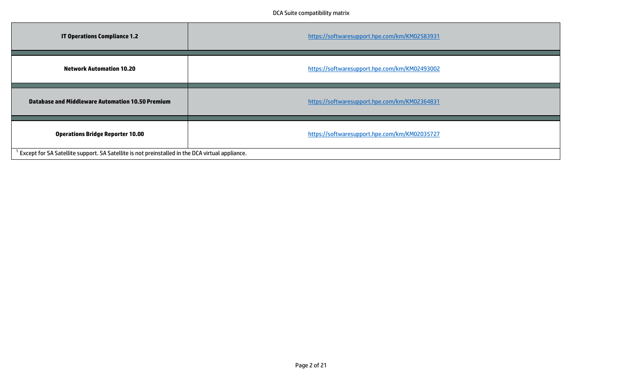| <b>IT Operations Compliance 1.2</b>                                                             | https://softwaresupport.hpe.com/km/KM02583931 |
|-------------------------------------------------------------------------------------------------|-----------------------------------------------|
| <b>Network Automation 10.20</b>                                                                 | https://softwaresupport.hpe.com/km/KM02493002 |
| Database and Middleware Automation 10.50 Premium                                                | https://softwaresupport.hpe.com/km/KM02364831 |
| <b>Operations Bridge Reporter 10.00</b>                                                         | https://softwaresupport.hpe.com/km/KM02035727 |
| Except for SA Satellite support. SA Satellite is not preinstalled in the DCA virtual appliance. |                                               |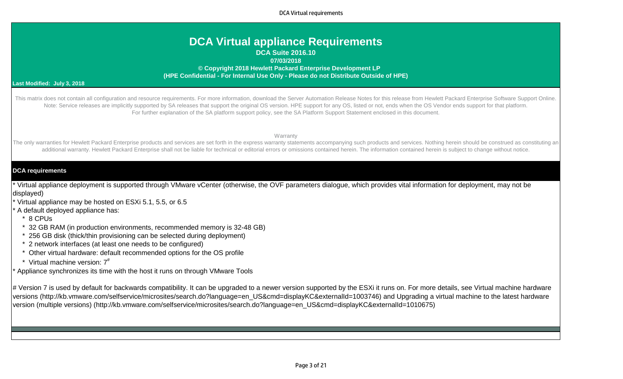DCA Virtual requirements

## **DCA Virtual appliance Requirements**

**DCA Suite 2016.10**

**07/03/2018**

 **© Copyright 2018 Hewlett Packard Enterprise Development LP (HPE Confidential - For Internal Use Only - Please do not Distribute Outside of HPE)**

#### **Last Modified: July 3, 2018**

This matrix does not contain all configuration and resource requirements. For more information, download the Server Automation Release Notes for this release from Hewlett Packard Enterprise Software Support Online. Note: Service releases are implicitly supported by SA releases that support the original OS version. HPE support for any OS, listed or not, ends when the OS Vendor ends support for that platform. For further explanation of the SA platform support policy, see the SA Platform Support Statement enclosed in this document.

**Warranty** 

The only warranties for Hewlett Packard Enterprise products and services are set forth in the express warranty statements accompanying such products and services. Nothing herein should be construed as constituting an additional warranty. Hewlett Packard Enterprise shall not be liable for technical or editorial errors or omissions contained herein. The information contained herein is subject to change without notice.

## **DCA requirements**

\* Virtual appliance deployment is supported through VMware vCenter (otherwise, the OVF parameters dialogue, which provides vital information for deployment, may not be displayed)

- Virtual appliance may be hosted on ESXi 5.1, 5.5, or 6.5
- A default deployed appliance has:
- \* 8 CPUs
- 32 GB RAM (in production environments, recommended memory is 32-48 GB)
- 256 GB disk (thick/thin provisioning can be selected during deployment)
- 2 network interfaces (at least one needs to be configured)
- Other virtual hardware: default recommended options for the OS profile
- $*$  Virtual machine version:  $7^{\#}$

Appliance synchronizes its time with the host it runs on through VMware Tools

# Version 7 is used by default for backwards compatibility. It can be upgraded to a newer version supported by the ESXi it runs on. For more details, see Virtual machine hardware versions (http://kb.vmware.com/selfservice/microsites/search.do?language=en\_US&cmd=displayKC&externalId=1003746) and Upgrading a virtual machine to the latest hardware version (multiple versions) (http://kb.vmware.com/selfservice/microsites/search.do?language=en\_US&cmd=displayKC&externalId=1010675)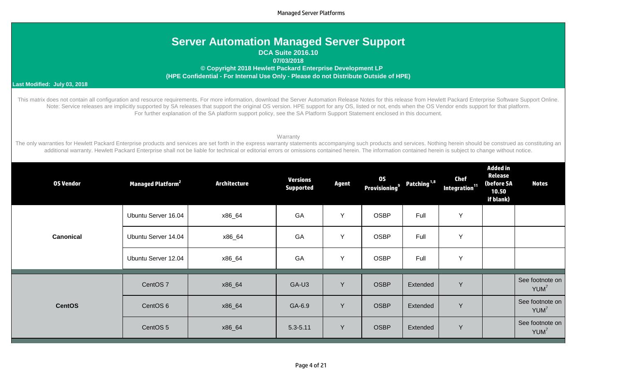| <b>Server Automation Managed Server Support</b> |  |
|-------------------------------------------------|--|
| <b>DCA Suite 2016.10</b>                        |  |

**07/03/2018**

 **© Copyright 2018 Hewlett Packard Enterprise Development LP (HPE Confidential - For Internal Use Only - Please do not Distribute Outside of HPE)**

#### **Last Modified: July 03, 2018**

This matrix does not contain all configuration and resource requirements. For more information, download the Server Automation Release Notes for this release from Hewlett Packard Enterprise Software Support Online. Note: Service releases are implicitly supported by SA releases that support the original OS version. HPE support for any OS, listed or not, ends when the OS Vendor ends support for that platform. For further explanation of the SA platform support policy, see the SA Platform Support Statement enclosed in this document.

#### Warranty

The only warranties for Hewlett Packard Enterprise products and services are set forth in the express warranty statements accompanying such products and services. Nothing herein should be construed as constituting an additional warranty. Hewlett Packard Enterprise shall not be liable for technical or editorial errors or omissions contained herein. The information contained herein is subject to change without notice.

| <b>OS Vendor</b> | <b>Managed Platform<sup>2</sup></b> | <b>Architecture</b> | <b>Versions</b><br><b>Supported</b> | Agent | <b>OS</b><br>Provisioning <sup>9</sup> | Patching <sup>1,8</sup> | <b>Chef</b><br>Integration <sup>11</sup> | <b>Added in</b><br>Release<br>(before SA<br>10.50<br>if blank) | <b>Notes</b>                        |
|------------------|-------------------------------------|---------------------|-------------------------------------|-------|----------------------------------------|-------------------------|------------------------------------------|----------------------------------------------------------------|-------------------------------------|
|                  | Ubuntu Server 16.04                 | x86_64              | GA                                  | Y     | <b>OSBP</b>                            | Full                    | Y                                        |                                                                |                                     |
| <b>Canonical</b> | Ubuntu Server 14.04                 | x86_64              | GA                                  | Υ     | <b>OSBP</b>                            | Full                    | Y                                        |                                                                |                                     |
|                  | Ubuntu Server 12.04                 | x86_64              | GA                                  | Y     | <b>OSBP</b>                            | Full                    | Y                                        |                                                                |                                     |
|                  | CentOS <sub>7</sub>                 | x86_64              | GA-U3                               | Y     | <b>OSBP</b>                            | Extended                | Y                                        |                                                                | See footnote on<br>YUM <sup>7</sup> |
| <b>CentOS</b>    | CentOS <sub>6</sub>                 | x86_64              | GA-6.9                              | Y     | <b>OSBP</b>                            | <b>Extended</b>         | Y                                        |                                                                | See footnote on<br>YUM <sup>7</sup> |
|                  | CentOS 5                            | x86_64              | $5.3 - 5.11$                        | Y     | <b>OSBP</b>                            | Extended                | Y                                        |                                                                | See footnote on<br>YUM <sup>7</sup> |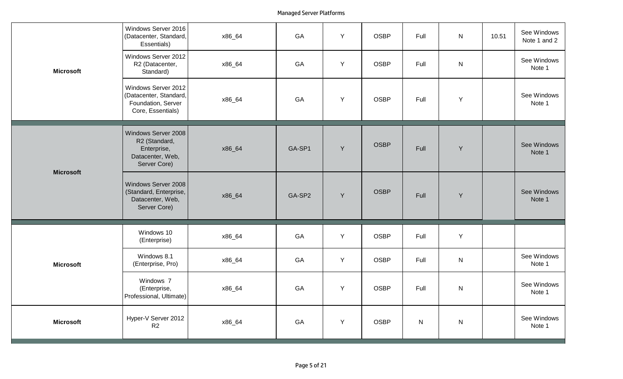|                  | Windows Server 2016<br>(Datacenter, Standard,<br>Essentials)                             | x86_64 | GA     | Y           | <b>OSBP</b> | Full      | ${\sf N}$ | 10.51 | See Windows<br>Note 1 and 2 |
|------------------|------------------------------------------------------------------------------------------|--------|--------|-------------|-------------|-----------|-----------|-------|-----------------------------|
| <b>Microsoft</b> | Windows Server 2012<br>R2 (Datacenter,<br>Standard)                                      | x86_64 | GA     | Y           | <b>OSBP</b> | Full      | ${\sf N}$ |       | See Windows<br>Note 1       |
|                  | Windows Server 2012<br>(Datacenter, Standard,<br>Foundation, Server<br>Core, Essentials) | x86_64 | GA     | Y           | <b>OSBP</b> | Full      | Υ         |       | See Windows<br>Note 1       |
| <b>Microsoft</b> | Windows Server 2008<br>R2 (Standard,<br>Enterprise,<br>Datacenter, Web,<br>Server Core)  | x86_64 | GA-SP1 | Y           | <b>OSBP</b> | Full      | Y         |       | See Windows<br>Note 1       |
|                  | Windows Server 2008<br>(Standard, Enterprise,<br>Datacenter, Web,<br>Server Core)        | x86_64 | GA-SP2 | Y           | <b>OSBP</b> | Full      | Y         |       | See Windows<br>Note 1       |
|                  | Windows 10<br>(Enterprise)                                                               | x86_64 | GA     | $\mathsf Y$ | <b>OSBP</b> | Full      | Y         |       |                             |
| <b>Microsoft</b> | Windows 8.1<br>(Enterprise, Pro)                                                         | x86_64 | GA     | Y           | <b>OSBP</b> | Full      | ${\sf N}$ |       | See Windows<br>Note 1       |
|                  | Windows 7<br>(Enterprise,<br>Professional, Ultimate)                                     | x86_64 | GA     | Y           | <b>OSBP</b> | Full      | ${\sf N}$ |       | See Windows<br>Note 1       |
| <b>Microsoft</b> | Hyper-V Server 2012<br>R2                                                                | x86_64 | GA     | Y           | <b>OSBP</b> | ${\sf N}$ | ${\sf N}$ |       | See Windows<br>Note 1       |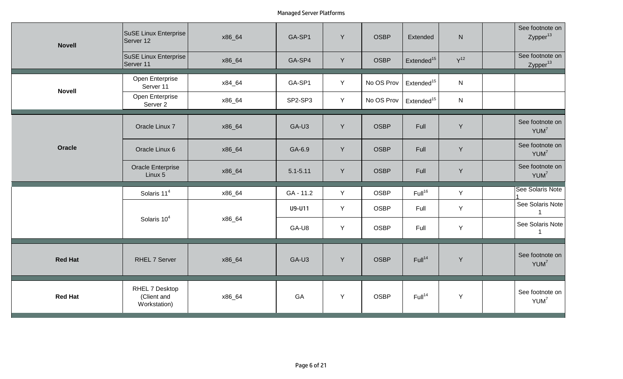| <b>Novell</b>  | <b>SuSE Linux Enterprise</b><br>Server 12     | x86_64 | GA-SP1       | Y | <b>OSBP</b> | Extended               | ${\sf N}$    | See footnote on<br>Zypper <sup>13</sup> |
|----------------|-----------------------------------------------|--------|--------------|---|-------------|------------------------|--------------|-----------------------------------------|
|                | SuSE Linux Enterprise<br>Server 11            | x86_64 | GA-SP4       | Y | <b>OSBP</b> | Extended <sup>15</sup> | $Y^{12}$     | See footnote on<br>Zypper <sup>13</sup> |
| <b>Novell</b>  | Open Enterprise<br>Server 11                  | x84_64 | GA-SP1       | Y | No OS Prov  | Extended <sup>15</sup> | $\mathsf{N}$ |                                         |
|                | Open Enterprise<br>Server 2                   | x86_64 | SP2-SP3      | Y | No OS Prov  | Extended <sup>15</sup> | ${\sf N}$    |                                         |
|                | Oracle Linux 7                                | x86_64 | GA-U3        | Y | <b>OSBP</b> | Full                   | Y            | See footnote on<br>YUM <sup>7</sup>     |
| Oracle         | Oracle Linux 6                                | x86_64 | GA-6.9       | Y | <b>OSBP</b> | Full                   | Y            | See footnote on<br>YUM <sup>7</sup>     |
|                | <b>Oracle Enterprise</b><br>Linux 5           | x86_64 | $5.1 - 5.11$ | Y | <b>OSBP</b> | Full                   | Y            | See footnote on<br>YUM <sup>7</sup>     |
|                | Solaris 11 <sup>4</sup>                       | x86_64 | GA - 11.2    | Y | <b>OSBP</b> | Full <sup>16</sup>     | Y            | See Solaris Note                        |
|                |                                               |        | U9-U11       | Y | <b>OSBP</b> | Full                   | Y            | See Solaris Note<br>$\overline{1}$      |
|                | Solaris 10 <sup>4</sup>                       | x86_64 | GA-U8        | Y | <b>OSBP</b> | Full                   | Y            | See Solaris Note                        |
| <b>Red Hat</b> | <b>RHEL 7 Server</b>                          | x86_64 | GA-U3        | Y | <b>OSBP</b> | Full <sup>14</sup>     | Y            | See footnote on<br>YUM <sup>7</sup>     |
| <b>Red Hat</b> | RHEL 7 Desktop<br>(Client and<br>Workstation) | x86_64 | GA           | Y | <b>OSBP</b> | Full <sup>14</sup>     | Y            | See footnote on<br>YUM <sup>7</sup>     |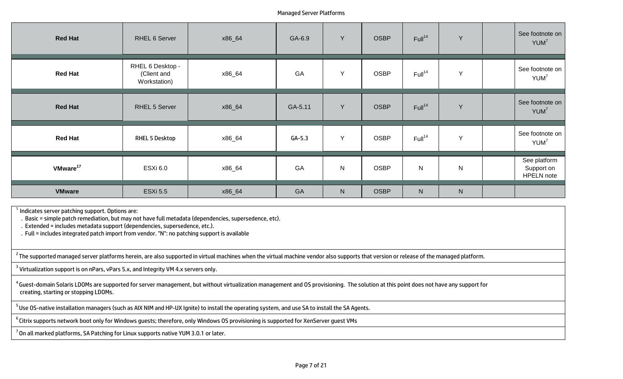| <b>Red Hat</b>       | RHEL 6 Server                                   | x86_64 | GA-6.9   | Y         | <b>OSBP</b> | Full <sup>14</sup> | Y         | See footnote on<br>YUM <sup>7</sup>             |
|----------------------|-------------------------------------------------|--------|----------|-----------|-------------|--------------------|-----------|-------------------------------------------------|
| <b>Red Hat</b>       | RHEL 6 Desktop -<br>(Client and<br>Workstation) | x86_64 | GA       | Y         | <b>OSBP</b> | Full <sup>14</sup> | Y         | See footnote on<br>YUM <sup>7</sup>             |
| <b>Red Hat</b>       | RHEL 5 Server                                   | x86_64 | GA-5.11  | Y         | <b>OSBP</b> | Full <sup>14</sup> | Y         | See footnote on<br>YUM <sup>7</sup>             |
| <b>Red Hat</b>       | <b>RHEL 5 Desktop</b>                           | x86_64 | $GA-5.3$ | Y         | <b>OSBP</b> | Full <sup>14</sup> | Y         | See footnote on<br>YUM <sup>7</sup>             |
| VMware <sup>17</sup> | <b>ESXi 6.0</b>                                 | x86_64 | GA       | ${\sf N}$ | <b>OSBP</b> | $\mathsf{N}$       | ${\sf N}$ | See platform<br>Support on<br><b>HPELN</b> note |
| <b>VMware</b>        | <b>ESXi 5.5</b>                                 | x86_64 | GA       | ${\sf N}$ | <b>OSBP</b> | N                  | ${\sf N}$ |                                                 |

 $^{\rm 1}$  Indicates server patching support. Options are:

. Basic = simple patch remediation, but may not have full metadata (dependencies, supersedence, etc).

. Extended = includes metadata support (dependencies, supersedence, etc.).

. Full = includes integrated patch import from vendor. "N": no patching support is available

 $^{\text{2}}$ The supported managed server platforms herein, are also supported in virtual machines when the virtual machine vendor also supports that version or release of the managed platform.

 $^{\text{3}}$  Virtualization support is on nPars, vPars 5.x, and Integrity VM 4.x servers only.

 $^4$ Guest-domain Solaris LDOMs are supported for server management, but without virtualization management and OS provisioning. The solution at this point does not have any support for creating, starting or stopping LDOMs.

<sup>5</sup> Use OS-native installation managers (such as AIX NIM and HP-UX Ignite) to install the operating system, and use SA to install the SA Agents.

<sup>6</sup> Citrix supports network boot only for Windows guests; therefore, only Windows OS provisioning is supported for XenServer guest VMs

 $7$  On all marked platforms, SA Patching for Linux supports native YUM 3.0.1 or later.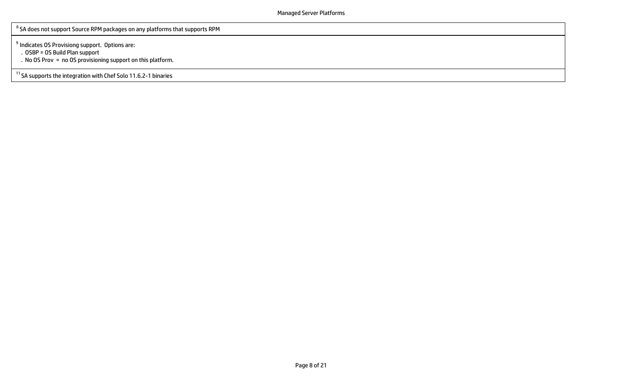$^{\rm 8}$  SA does not support Source RPM packages on any platforms that supports RPM

<sup>9</sup> Indicates OS Provisiong support. Options are:

. OSBP = OS Build Plan support

. No OS Prov = no OS provisioning support on this platform.

<sup>11</sup> SA supports the integration with Chef Solo 11.6.2-1 binaries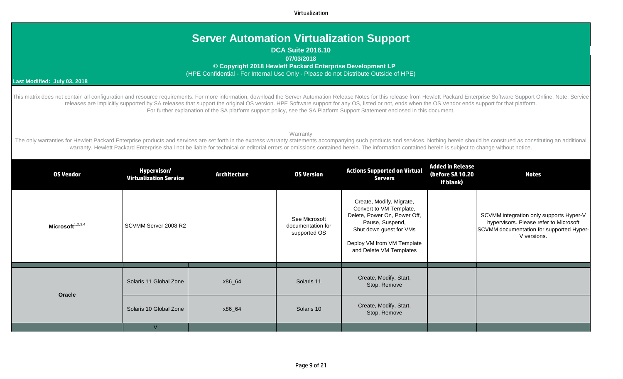Virtualization

## **Server Automation Virtualization Support**

**DCA Suite 2016.10**

**07/03/2018**

 **© Copyright 2018 Hewlett Packard Enterprise Development LP**

(HPE Confidential - For Internal Use Only - Please do not Distribute Outside of HPE)

#### **Last Modified: July 03, 2018**

This matrix does not contain all configuration and resource requirements. For more information, download the Server Automation Release Notes for this release from Hewlett Packard Enterprise Software Support Online. Note: S releases are implicitly supported by SA releases that support the original OS version. HPE Software support for any OS, listed or not, ends when the OS Vendor ends support for that platform. For further explanation of the SA platform support policy, see the SA Platform Support Statement enclosed in this document.

Warranty

The only warranties for Hewlett Packard Enterprise products and services are set forth in the express warranty statements accompanying such products and services. Nothing herein should be construed as constituting an addit warranty. Hewlett Packard Enterprise shall not be liable for technical or editorial errors or omissions contained herein. The information contained herein is subject to change without notice.

| <b>OS Vendor</b>    | Hypervisor/<br><b>Virtualization Service</b> | <b>Architecture</b> | <b>0S Version</b>                                  | <b>Actions Supported on Virtual</b><br><b>Servers</b>                                                                                                                                      | <b>Added in Release</b><br>(before SA 10.20<br>if blank) | <b>Notes</b>                                                                                                                                 |
|---------------------|----------------------------------------------|---------------------|----------------------------------------------------|--------------------------------------------------------------------------------------------------------------------------------------------------------------------------------------------|----------------------------------------------------------|----------------------------------------------------------------------------------------------------------------------------------------------|
| Microsoft $1,2,3,4$ | SCVMM Server 2008 R2                         |                     | See Microsoft<br>documentation for<br>supported OS | Create, Modify, Migrate,<br>Convert to VM Template,<br>Delete, Power On, Power Off,<br>Pause, Suspend,<br>Shut down guest for VMs<br>Deploy VM from VM Template<br>and Delete VM Templates |                                                          | SCVMM integration only supports Hyper-V<br>hypervisors. Please refer to Microsoft<br>SCVMM documentation for supported Hyper-<br>V versions. |
| Oracle              | Solaris 11 Global Zone                       | x86_64              | Solaris 11                                         | Create, Modify, Start,<br>Stop, Remove                                                                                                                                                     |                                                          |                                                                                                                                              |
|                     | Solaris 10 Global Zone                       | x86_64              | Solaris 10                                         | Create, Modify, Start,<br>Stop, Remove                                                                                                                                                     |                                                          |                                                                                                                                              |
|                     | $\mathcal{U}$                                |                     |                                                    |                                                                                                                                                                                            |                                                          |                                                                                                                                              |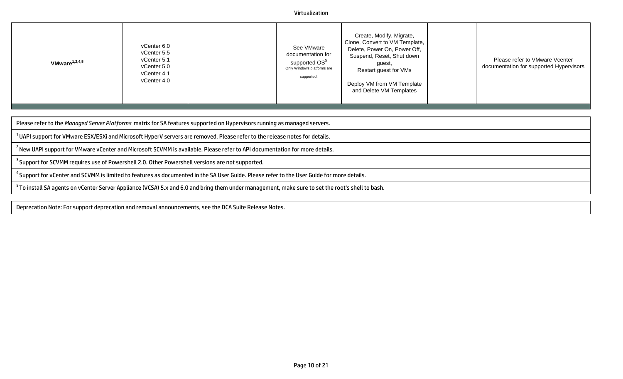#### Virtualization

| Create, Modify, Migrate,<br>Clone, Convert to VM Template,<br>vCenter 6.0<br>See VMware<br>Delete, Power On, Power Off,<br>vCenter 5.5<br>documentation for<br>Suspend, Reset, Shut down<br>vCenter 5.1<br>Please refer to VMware Vcenter<br>supported OS <sup>5</sup><br>VMware $1,2,4,5$<br>quest.<br>documentation for supported Hypervisors<br>vCenter 5.0<br>Only Windows platforms are<br>Restart guest for VMs<br>vCenter 4.1<br>supported.<br>vCenter 4.0<br>Deploy VM from VM Template<br>and Delete VM Templates |  |
|----------------------------------------------------------------------------------------------------------------------------------------------------------------------------------------------------------------------------------------------------------------------------------------------------------------------------------------------------------------------------------------------------------------------------------------------------------------------------------------------------------------------------|--|
|----------------------------------------------------------------------------------------------------------------------------------------------------------------------------------------------------------------------------------------------------------------------------------------------------------------------------------------------------------------------------------------------------------------------------------------------------------------------------------------------------------------------------|--|

Please refer to the *Managed Server Platforms* matrix for SA features supported on Hypervisors running as managed servers.

 $^1$ UAPI support for VMware ESX/ESXi and Microsoft HyperV servers are removed. Please refer to the release notes for details.

<sup>2</sup> New UAPI support for VMware vCenter and Microsoft SCVMM is available. Please refer to API documentation for more details.

<sup>3</sup> Support for SCVMM requires use of Powershell 2.0. Other Powershell versions are not supported.

<sup>4</sup> Support for vCenter and SCVMM is limited to features as documented in the SA User Guide. Please refer to the User Guide for more details.

<sup>5</sup> To install SA agents on vCenter Server Appliance (VCSA) 5.x and 6.0 and bring them under management, make sure to set the root's shell to bash.

Deprecation Note: For support deprecation and removal announcements, see the DCA Suite Release Notes.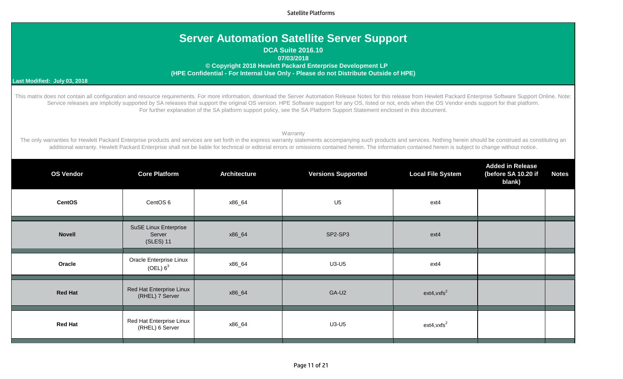Satellite Platforms

## **Server Automation Satellite Server Support**

## **DCA Suite 2016.10 07/03/2018 © Copyright 2018 Hewlett Packard Enterprise Development LP (HPE Confidential - For Internal Use Only - Please do not Distribute Outside of HPE)**

#### **Last Modified: July 03, 2018**

This matrix does not contain all configuration and resource requirements. For more information, download the Server Automation Release Notes for this release from Hewlett Packard Enterprise Software Support Online. Note: Service releases are implicitly supported by SA releases that support the original OS version. HPE Software support for any OS, listed or not, ends when the OS Vendor ends support for that platform. For further explanation of the SA platform support policy, see the SA Platform Support Statement enclosed in this document.

#### **Warranty**

The only warranties for Hewlett Packard Enterprise products and services are set forth in the express warranty statements accompanying such products and services. Nothing herein should be construed as constituting an additional warranty. Hewlett Packard Enterprise shall not be liable for technical or editorial errors or omissions contained herein. The information contained herein is subject to change without notice.

| <b>OS Vendor</b> | <b>Core Platform</b>                                | <b>Architecture</b> | <b>Versions Supported</b> | <b>Local File System</b> | <b>Added in Release</b><br>(before SA 10.20 if<br>blank) | <b>Notes</b> |
|------------------|-----------------------------------------------------|---------------------|---------------------------|--------------------------|----------------------------------------------------------|--------------|
| <b>CentOS</b>    | CentOS 6                                            | x86_64              | U <sub>5</sub>            | ext4                     |                                                          |              |
| <b>Novell</b>    | <b>SuSE Linux Enterprise</b><br>Server<br>(SLES) 11 | x86_64              | SP2-SP3                   | ext4                     |                                                          |              |
| Oracle           | Oracle Enterprise Linux<br>(OEL) 6 <sup>3</sup>     | x86_64              | $U3-U5$                   | ext4                     |                                                          |              |
| <b>Red Hat</b>   | Red Hat Enterprise Linux<br>(RHEL) 7 Server         | x86_64              | GA-U2                     | $ext{4,vxfs}^2$          |                                                          |              |
| <b>Red Hat</b>   | Red Hat Enterprise Linux<br>(RHEL) 6 Server         | x86_64              | $U3-U5$                   | $ext{4,vxfs}^2$          |                                                          |              |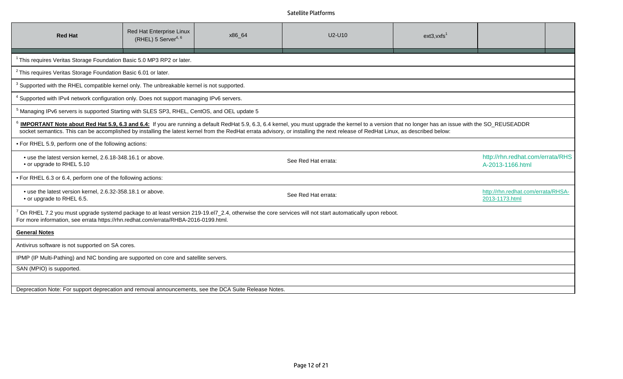## Satellite Platforms

| <b>Red Hat</b>                                                                                                                                                                                                                                                                                                                                                                                      | Red Hat Enterprise Linux<br>(RHEL) 5 Server <sup>4, 6</sup> | x86_64 | U2-U10                                                                                                                                                      | $ext{3}, vxfs1$ |                                                      |  |  |  |
|-----------------------------------------------------------------------------------------------------------------------------------------------------------------------------------------------------------------------------------------------------------------------------------------------------------------------------------------------------------------------------------------------------|-------------------------------------------------------------|--------|-------------------------------------------------------------------------------------------------------------------------------------------------------------|-----------------|------------------------------------------------------|--|--|--|
| <sup>1</sup> This requires Veritas Storage Foundation Basic 5.0 MP3 RP2 or later.                                                                                                                                                                                                                                                                                                                   |                                                             |        |                                                                                                                                                             |                 |                                                      |  |  |  |
| <sup>2</sup> This requires Veritas Storage Foundation Basic 6.01 or later.                                                                                                                                                                                                                                                                                                                          |                                                             |        |                                                                                                                                                             |                 |                                                      |  |  |  |
| <sup>3</sup> Supported with the RHEL compatible kernel only. The unbreakable kernel is not supported.                                                                                                                                                                                                                                                                                               |                                                             |        |                                                                                                                                                             |                 |                                                      |  |  |  |
| <sup>4</sup> Supported with IPv4 network configuration only. Does not support managing IPv6 servers.                                                                                                                                                                                                                                                                                                |                                                             |        |                                                                                                                                                             |                 |                                                      |  |  |  |
| <sup>5</sup> Managing IPv6 servers is supported Starting with SLES SP3, RHEL, CentOS, and OEL update 5                                                                                                                                                                                                                                                                                              |                                                             |        |                                                                                                                                                             |                 |                                                      |  |  |  |
| <sup>6</sup> IMPORTANT Note about Red Hat 5.9, 6.3 and 6.4: If you are running a default RedHat 5.9, 6.3, 6.4 kernel, you must upgrade the kernel to a version that no longer has an issue with the SO_REUSEADDR<br>socket semantics. This can be accomplished by installing the latest kernel from the RedHat errata advisory, or installing the next release of RedHat Linux, as described below: |                                                             |        |                                                                                                                                                             |                 |                                                      |  |  |  |
| • For RHEL 5.9, perform one of the following actions:                                                                                                                                                                                                                                                                                                                                               |                                                             |        |                                                                                                                                                             |                 |                                                      |  |  |  |
| • use the latest version kernel, 2.6.18-348.16.1 or above.<br>• or upgrade to RHEL 5.10                                                                                                                                                                                                                                                                                                             |                                                             |        | See Red Hat errata:                                                                                                                                         |                 | http://rhn.redhat.com/errata/RHS<br>A-2013-1166.html |  |  |  |
| • For RHEL 6.3 or 6.4, perform one of the following actions:                                                                                                                                                                                                                                                                                                                                        |                                                             |        |                                                                                                                                                             |                 |                                                      |  |  |  |
| • use the latest version kernel, 2.6.32-358.18.1 or above.<br>• or upgrade to RHEL 6.5.                                                                                                                                                                                                                                                                                                             |                                                             |        | See Red Hat errata:                                                                                                                                         |                 | http://rhn.redhat.com/errata/RHSA-<br>2013-1173.html |  |  |  |
| For more information, see errata https://rhn.redhat.com/errata/RHBA-2016-0199.html.                                                                                                                                                                                                                                                                                                                 |                                                             |        | $^7$ On RHEL 7.2 you must upgrade systemd package to at least version 219-19.el7_2.4, otherwise the core services will not start automatically upon reboot. |                 |                                                      |  |  |  |
| <b>General Notes</b>                                                                                                                                                                                                                                                                                                                                                                                |                                                             |        |                                                                                                                                                             |                 |                                                      |  |  |  |
| Antivirus software is not supported on SA cores.                                                                                                                                                                                                                                                                                                                                                    |                                                             |        |                                                                                                                                                             |                 |                                                      |  |  |  |
| IPMP (IP Multi-Pathing) and NIC bonding are supported on core and satellite servers.                                                                                                                                                                                                                                                                                                                |                                                             |        |                                                                                                                                                             |                 |                                                      |  |  |  |
| SAN (MPIO) is supported.                                                                                                                                                                                                                                                                                                                                                                            |                                                             |        |                                                                                                                                                             |                 |                                                      |  |  |  |
|                                                                                                                                                                                                                                                                                                                                                                                                     |                                                             |        |                                                                                                                                                             |                 |                                                      |  |  |  |
| Deprecation Note: For support deprecation and removal announcements, see the DCA Suite Release Notes.                                                                                                                                                                                                                                                                                               |                                                             |        |                                                                                                                                                             |                 |                                                      |  |  |  |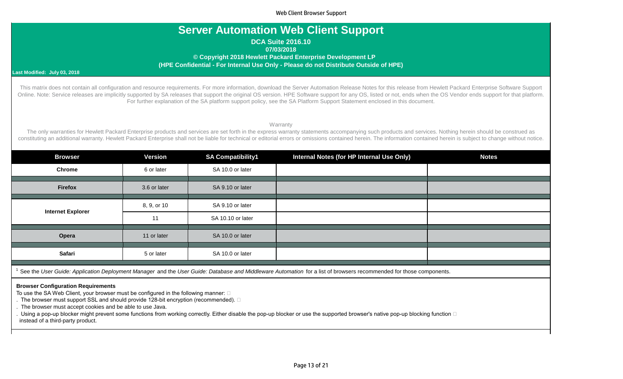Web Client Browser Support

## **Server Automation Web Client Support**

**DCA Suite 2016.10**

**07/03/2018**

 **© Copyright 2018 Hewlett Packard Enterprise Development LP (HPE Confidential - For Internal Use Only - Please do not Distribute Outside of HPE)**

#### **Last Modified: July 03, 2018**

This matrix does not contain all configuration and resource requirements. For more information, download the Server Automation Release Notes for this release from Hewlett Packard Enterprise Software Support Online. Note: Service releases are implicitly supported by SA releases that support the original OS version. HPE Software support for any OS, listed or not, ends when the OS Vendor ends support for that platform. For further explanation of the SA platform support policy, see the SA Platform Support Statement enclosed in this document.

**Warranty** 

The only warranties for Hewlett Packard Enterprise products and services are set forth in the express warranty statements accompanying such products and services. Nothing herein should be construed as constituting an additional warranty. Hewlett Packard Enterprise shall not be liable for technical or editorial errors or omissions contained herein. The information contained herein is subject to change without notice.

| <b>Browser</b>                                                                                                                                                                  | <b>Version</b> | <b>SA Compatibility1</b> | Internal Notes (for HP Internal Use Only) | <b>Notes</b> |  |  |
|---------------------------------------------------------------------------------------------------------------------------------------------------------------------------------|----------------|--------------------------|-------------------------------------------|--------------|--|--|
| <b>Chrome</b>                                                                                                                                                                   | 6 or later     | SA 10.0 or later         |                                           |              |  |  |
| <b>Firefox</b>                                                                                                                                                                  | 3.6 or later   | SA 9.10 or later         |                                           |              |  |  |
|                                                                                                                                                                                 | 8, 9, or 10    | SA 9.10 or later         |                                           |              |  |  |
| <b>Internet Explorer</b>                                                                                                                                                        | 11             | SA 10.10 or later        |                                           |              |  |  |
| Opera                                                                                                                                                                           | 11 or later    | SA 10.0 or later         |                                           |              |  |  |
| Safari                                                                                                                                                                          | 5 or later     | SA 10.0 or later         |                                           |              |  |  |
| <sup>1</sup> See the User Guide: Application Deployment Manager and the User Guide: Database and Middleware Automation for a list of browsers recommended for those components. |                |                          |                                           |              |  |  |

#### **Browser Configuration Requirements**

To use the SA Web Client, your browser must be configured in the following manner:  $\square$ 

. The browser must support SSL and should provide 128-bit encryption (recommended).  $\square$ 

. The browser must accept cookies and be able to use Java.

. Using a pop-up blocker might prevent some functions from working correctly. Either disable the pop-up blocker or use the supported browser's native pop-up blocking function  $\Box$ instead of a third-party product.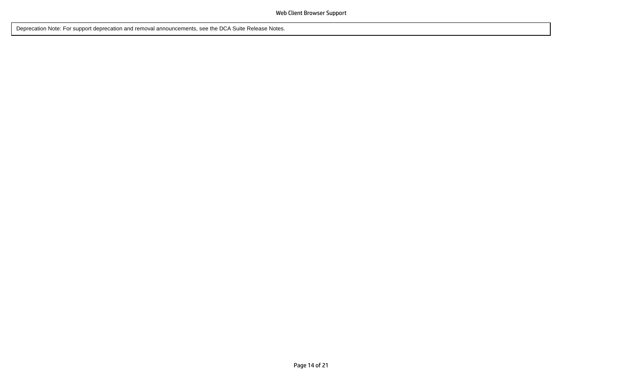Deprecation Note: For support deprecation and removal announcements, see the DCA Suite Release Notes.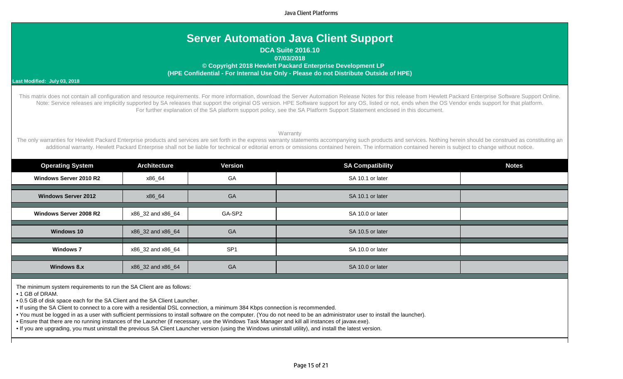Java Client Platforms

## **Server Automation Java Client Support**

**DCA Suite 2016.10**

**07/03/2018**

 **© Copyright 2018 Hewlett Packard Enterprise Development LP (HPE Confidential - For Internal Use Only - Please do not Distribute Outside of HPE)**

#### **Last Modified: July 03, 2018**

This matrix does not contain all configuration and resource requirements. For more information, download the Server Automation Release Notes for this release from Hewlett Packard Enterprise Software Support Online. Note: Service releases are implicitly supported by SA releases that support the original OS version. HPE Software support for any OS, listed or not, ends when the OS Vendor ends support for that platform. For further explanation of the SA platform support policy, see the SA Platform Support Statement enclosed in this document.

**Warranty** 

The only warranties for Hewlett Packard Enterprise products and services are set forth in the express warranty statements accompanying such products and services. Nothing herein should be construed as constituting an additional warranty. Hewlett Packard Enterprise shall not be liable for technical or editorial errors or omissions contained herein. The information contained herein is subject to change without notice.

| <b>Operating System</b>       | <b>Architecture</b> | <b>Version</b>  | <b>SA Compatibility</b> | <b>Notes</b> |
|-------------------------------|---------------------|-----------------|-------------------------|--------------|
| Windows Server 2010 R2        | x86_64              | GA              | SA 10.1 or later        |              |
|                               |                     |                 |                         |              |
| <b>Windows Server 2012</b>    | x86_64              | GA              | SA 10.1 or later        |              |
|                               |                     |                 |                         |              |
| <b>Windows Server 2008 R2</b> | x86_32 and x86_64   | GA-SP2          | SA 10.0 or later        |              |
|                               |                     |                 |                         |              |
| Windows 10                    | x86 32 and x86 64   | GA              | SA 10.5 or later        |              |
|                               |                     |                 |                         |              |
| <b>Windows 7</b>              | x86_32 and x86_64   | SP <sub>1</sub> | SA 10.0 or later        |              |
|                               |                     |                 |                         |              |
| <b>Windows 8.x</b>            | x86_32 and x86_64   | GA              | SA 10.0 or later        |              |

The minimum system requirements to run the SA Client are as follows:

• 1 GB of DRAM.

• 0.5 GB of disk space each for the SA Client and the SA Client Launcher.

• If using the SA Client to connect to a core with a residential DSL connection, a minimum 384 Kbps connection is recommended.

• You must be logged in as a user with sufficient permissions to install software on the computer. (You do not need to be an administrator user to install the launcher).

• Ensure that there are no running instances of the Launcher (if necessary, use the Windows Task Manager and kill all instances of javaw.exe).

• If you are upgrading, you must uninstall the previous SA Client Launcher version (using the Windows uninstall utility), and install the latest version.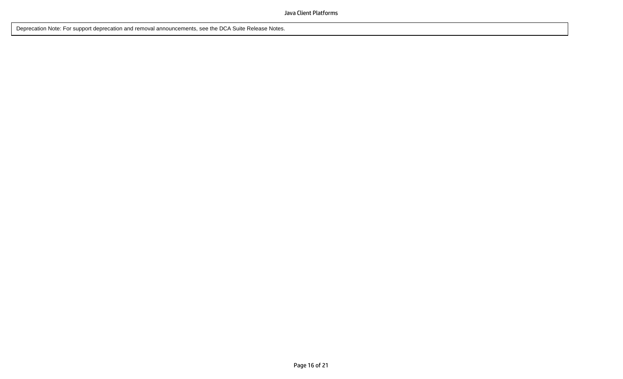Deprecation Note: For support deprecation and removal announcements, see the DCA Suite Release Notes.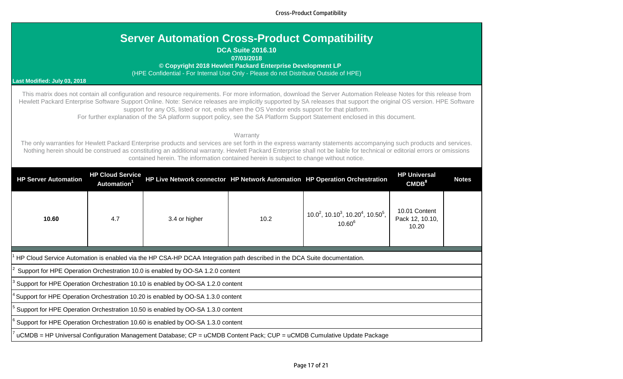Cross-Product Compatibility

## **DCA Suite 2016.10**

### **07/03/2018**

 **© Copyright 2018 Hewlett Packard Enterprise Development LP**

(HPE Confidential - For Internal Use Only - Please do not Distribute Outside of HPE)

## **Last Modified: July 03, 2018**

This matrix does not contain all configuration and resource requirements. For more information, download the Server Automation Release Notes for this release from Hewlett Packard Enterprise Software Support Online. Note: Service releases are implicitly supported by SA releases that support the original OS version. HPE Software support for any OS, listed or not, ends when the OS Vendor ends support for that platform.

For further explanation of the SA platform support policy, see the SA Platform Support Statement enclosed in this document.

### **Warranty**

The only warranties for Hewlett Packard Enterprise products and services are set forth in the express warranty statements accompanying such products and services. Nothing herein should be construed as constituting an additional warranty. Hewlett Packard Enterprise shall not be liable for technical or editorial errors or omissions contained herein. The information contained herein is subject to change without notice.

| <b>HP Server Automation</b>                                                                                              | <b>HP Cloud Service</b><br><b>Automation</b>                                    |                                                                                |      | HP Live Network connector HP Network Automation HP Operation Orchestration               | <b>HP Universal</b><br>CMDB <sup>8</sup>  | <b>Notes</b> |  |  |  |  |
|--------------------------------------------------------------------------------------------------------------------------|---------------------------------------------------------------------------------|--------------------------------------------------------------------------------|------|------------------------------------------------------------------------------------------|-------------------------------------------|--------------|--|--|--|--|
| 10.60                                                                                                                    | 4.7                                                                             | 3.4 or higher                                                                  | 10.2 | $10.0^2$ , 10.10 <sup>3</sup> , 10.20 <sup>4</sup> , 10.50 <sup>5</sup> ,<br>$10.60^{6}$ | 10.01 Content<br>Pack 12, 10.10,<br>10.20 |              |  |  |  |  |
|                                                                                                                          |                                                                                 |                                                                                |      |                                                                                          |                                           |              |  |  |  |  |
| HP Cloud Service Automation is enabled via the HP CSA-HP DCAA Integration path described in the DCA Suite documentation. |                                                                                 |                                                                                |      |                                                                                          |                                           |              |  |  |  |  |
|                                                                                                                          |                                                                                 | Support for HPE Operation Orchestration 10.0 is enabled by OO-SA 1.2.0 content |      |                                                                                          |                                           |              |  |  |  |  |
|                                                                                                                          | Support for HPE Operation Orchestration 10.10 is enabled by OO-SA 1.2.0 content |                                                                                |      |                                                                                          |                                           |              |  |  |  |  |
| <sup>1</sup> Support for HPE Operation Orchestration 10.20 is enabled by OO-SA 1.3.0 content                             |                                                                                 |                                                                                |      |                                                                                          |                                           |              |  |  |  |  |
| Support for HPE Operation Orchestration 10.50 is enabled by OO-SA 1.3.0 content                                          |                                                                                 |                                                                                |      |                                                                                          |                                           |              |  |  |  |  |
| Support for HPE Operation Orchestration 10.60 is enabled by OO-SA 1.3.0 content                                          |                                                                                 |                                                                                |      |                                                                                          |                                           |              |  |  |  |  |
| uCMDB = HP Universal Configuration Management Database; CP = uCMDB Content Pack; CUP = uCMDB Cumulative Update Package   |                                                                                 |                                                                                |      |                                                                                          |                                           |              |  |  |  |  |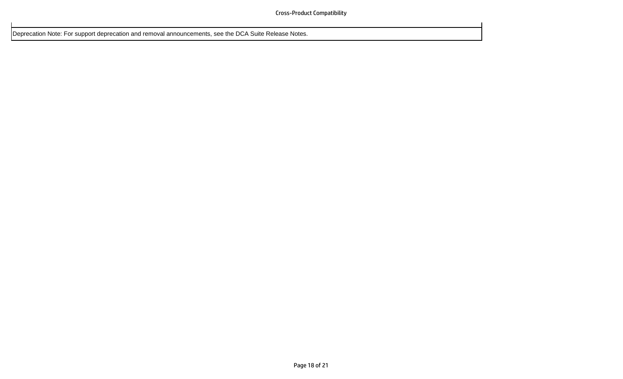Deprecation Note: For support deprecation and removal announcements, see the DCA Suite Release Notes.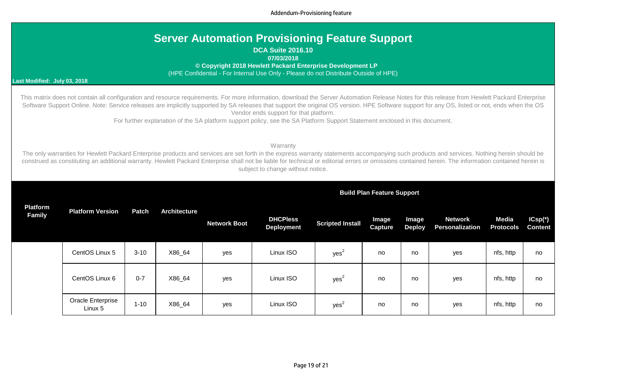Addendum-Provisioning feature

| <b>Server Automation Provisioning Feature Support</b> |
|-------------------------------------------------------|
|-------------------------------------------------------|

**DCA Suite 2016.10**

**07/03/2018** 

 **© Copyright 2018 Hewlett Packard Enterprise Development LP**

(HPE Confidential - For Internal Use Only - Please do not Distribute Outside of HPE)

#### **Last Modified: July 03, 2018**

This matrix does not contain all configuration and resource requirements. For more information, download the Server Automation Release Notes for this release from Hewlett Packard Enterprise Software Support Online. Note: Service releases are implicitly supported by SA releases that support the original OS version. HPE Software support for any OS, listed or not, ends when the OS Vendor ends support for that platform.

For further explanation of the SA platform support policy, see the SA Platform Support Statement enclosed in this document.

#### **Warranty**

The only warranties for Hewlett Packard Enterprise products and services are set forth in the express warranty statements accompanying such products and services. Nothing herein should be construed as constituting an additional warranty. Hewlett Packard Enterprise shall not be liable for technical or editorial errors or omissions contained herein. The information contained herein is subject to change without notice.

| Platform<br><b>Family</b> | <b>Platform Version</b>      | <b>Patch</b> | <b>Architecture</b> | <b>Network Boot</b> | <b>DHCPless</b><br><b>Deployment</b> | <b>Scripted Install</b> | Image<br>Capture | Image<br><b>Deploy</b> | <b>Network</b><br>Personalization | <b>Media</b><br><b>Protocols</b> | $ICsp(*)$<br><b>Content</b> |
|---------------------------|------------------------------|--------------|---------------------|---------------------|--------------------------------------|-------------------------|------------------|------------------------|-----------------------------------|----------------------------------|-----------------------------|
|                           | CentOS Linux 5               | $3 - 10$     | X86_64              | yes                 | Linux ISO                            | yes <sup>2</sup>        | no               | no                     | yes                               | nfs, http                        | no                          |
|                           | CentOS Linux 6               | $0 - 7$      | X86_64              | yes                 | Linux ISO                            | yes <sup>2</sup>        | no               | no                     | yes                               | nfs, http                        | no                          |
|                           | Oracle Enterprise<br>Linux 5 | $1 - 10$     | X86_64              | yes                 | Linux ISO                            | yes                     | no               | no                     | yes                               | nfs, http                        | no                          |

### **Build Plan Feature Support**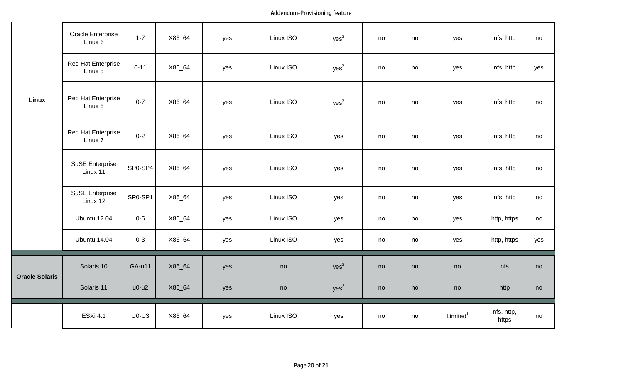## Addendum-Provisioning feature

|                       | Oracle Enterprise<br>Linux 6         | $1 - 7$       | X86_64 | yes | Linux ISO | yes <sup>2</sup> | no | no | yes                  | nfs, http           | no  |
|-----------------------|--------------------------------------|---------------|--------|-----|-----------|------------------|----|----|----------------------|---------------------|-----|
| <b>Linux</b>          | <b>Red Hat Enterprise</b><br>Linux 5 | $0 - 11$      | X86_64 | yes | Linux ISO | yes <sup>2</sup> | no | no | yes                  | nfs, http           | yes |
|                       | Red Hat Enterprise<br>Linux 6        | $0 - 7$       | X86_64 | yes | Linux ISO | yes <sup>2</sup> | no | no | yes                  | nfs, http           | no  |
|                       | Red Hat Enterprise<br>Linux 7        | $0 - 2$       | X86_64 | yes | Linux ISO | yes              | no | no | yes                  | nfs, http           | no  |
|                       | <b>SuSE Enterprise</b><br>Linux 11   | SP0-SP4       | X86_64 | yes | Linux ISO | yes              | no | no | yes                  | nfs, http           | no  |
|                       | <b>SuSE Enterprise</b><br>Linux 12   | SP0-SP1       | X86_64 | yes | Linux ISO | yes              | no | no | yes                  | nfs, http           | no  |
|                       | <b>Ubuntu 12.04</b>                  | $0-5$         | X86_64 | yes | Linux ISO | yes              | no | no | yes                  | http, https         | no  |
|                       | Ubuntu 14.04                         | $0 - 3$       | X86_64 | yes | Linux ISO | yes              | no | no | yes                  | http, https         | yes |
|                       | Solaris 10                           | <b>GA-u11</b> | X86_64 | yes | no        | yes <sup>2</sup> | no | no | no                   | nfs                 | no  |
| <b>Oracle Solaris</b> | Solaris 11                           | $u0-u2$       | X86_64 | yes | no        | yes <sup>2</sup> | no | no | no                   | http                | no  |
|                       | <b>ESXi 4.1</b>                      | $U0-U3$       | X86_64 | yes | Linux ISO | yes              | no | no | Limited <sup>1</sup> | nfs, http,<br>https | no  |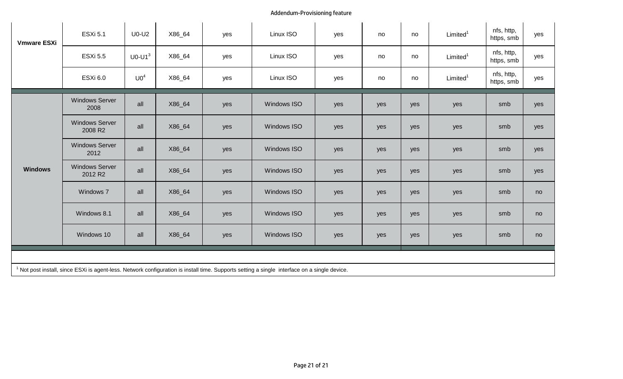## Addendum-Provisioning feature

| <b>Vmware ESXi</b>                                                                                                                                      | <b>ESXi 5.1</b>                  | $U0-U2$         | X86_64 | yes | Linux ISO          | yes | no  | no  | Limited <sup>1</sup> | nfs, http,<br>https, smb | yes |
|---------------------------------------------------------------------------------------------------------------------------------------------------------|----------------------------------|-----------------|--------|-----|--------------------|-----|-----|-----|----------------------|--------------------------|-----|
|                                                                                                                                                         | <b>ESXi 5.5</b>                  | $U0-U13$        | X86_64 | yes | Linux ISO          | yes | no  | no  | Limited <sup>1</sup> | nfs, http,<br>https, smb | yes |
|                                                                                                                                                         | <b>ESXi 6.0</b>                  | U0 <sup>4</sup> | X86_64 | yes | Linux ISO          | yes | no  | no  | Limited <sup>1</sup> | nfs, http,<br>https, smb | yes |
|                                                                                                                                                         | <b>Windows Server</b><br>2008    | all             | X86_64 | yes | <b>Windows ISO</b> | yes | yes | yes | yes                  | smb                      | yes |
| <b>Windows</b>                                                                                                                                          | <b>Windows Server</b><br>2008 R2 | all             | X86_64 | yes | <b>Windows ISO</b> | yes | yes | yes | yes                  | smb                      | yes |
|                                                                                                                                                         | <b>Windows Server</b><br>2012    | all             | X86_64 | yes | <b>Windows ISO</b> | yes | yes | yes | yes                  | smb                      | yes |
|                                                                                                                                                         | <b>Windows Server</b><br>2012 R2 | all             | X86_64 | yes | <b>Windows ISO</b> | yes | yes | yes | yes                  | smb                      | yes |
|                                                                                                                                                         | Windows 7                        | all             | X86_64 | yes | <b>Windows ISO</b> | yes | yes | yes | yes                  | smb                      | no  |
|                                                                                                                                                         | Windows 8.1                      | all             | X86_64 | yes | <b>Windows ISO</b> | yes | yes | yes | yes                  | smb                      | no  |
|                                                                                                                                                         | Windows 10                       | all             | X86_64 | yes | <b>Windows ISO</b> | yes | yes | yes | yes                  | smb                      | no  |
|                                                                                                                                                         |                                  |                 |        |     |                    |     |     |     |                      |                          |     |
| <sup>1</sup> Not post install, since ESXi is agent-less. Network configuration is install time. Supports setting a single interface on a single device. |                                  |                 |        |     |                    |     |     |     |                      |                          |     |